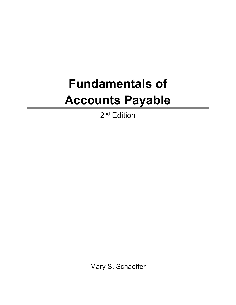## **Fundamentals of Accounts Payable**

2<sup>nd</sup> Edition

Mary S. Schaeffer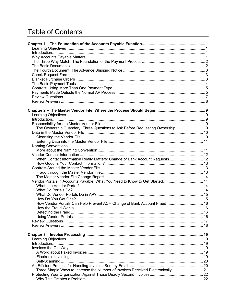## **Table of Contents**

| The Ownership Quandary: Three Questions to Ask Before Requesting Ownership 9<br>When Contact Information Really Matters: Change of Bank Account Requests  12<br>How Vendor Portals Can Help Prevent ACH Change of Bank Account Fraud 16<br>Three Simple Ways to Increase the Number of Invoices Received Electronically 21 |  |
|----------------------------------------------------------------------------------------------------------------------------------------------------------------------------------------------------------------------------------------------------------------------------------------------------------------------------|--|
| Vendor Portals in Accounts Payable: What You Need to Know to Get Started 14                                                                                                                                                                                                                                                |  |
|                                                                                                                                                                                                                                                                                                                            |  |
|                                                                                                                                                                                                                                                                                                                            |  |
|                                                                                                                                                                                                                                                                                                                            |  |
|                                                                                                                                                                                                                                                                                                                            |  |
|                                                                                                                                                                                                                                                                                                                            |  |
|                                                                                                                                                                                                                                                                                                                            |  |
|                                                                                                                                                                                                                                                                                                                            |  |
|                                                                                                                                                                                                                                                                                                                            |  |
|                                                                                                                                                                                                                                                                                                                            |  |
|                                                                                                                                                                                                                                                                                                                            |  |
|                                                                                                                                                                                                                                                                                                                            |  |
|                                                                                                                                                                                                                                                                                                                            |  |
|                                                                                                                                                                                                                                                                                                                            |  |
|                                                                                                                                                                                                                                                                                                                            |  |
|                                                                                                                                                                                                                                                                                                                            |  |
|                                                                                                                                                                                                                                                                                                                            |  |
|                                                                                                                                                                                                                                                                                                                            |  |
|                                                                                                                                                                                                                                                                                                                            |  |
|                                                                                                                                                                                                                                                                                                                            |  |
|                                                                                                                                                                                                                                                                                                                            |  |
|                                                                                                                                                                                                                                                                                                                            |  |
|                                                                                                                                                                                                                                                                                                                            |  |
|                                                                                                                                                                                                                                                                                                                            |  |
|                                                                                                                                                                                                                                                                                                                            |  |
|                                                                                                                                                                                                                                                                                                                            |  |
|                                                                                                                                                                                                                                                                                                                            |  |
|                                                                                                                                                                                                                                                                                                                            |  |
|                                                                                                                                                                                                                                                                                                                            |  |
|                                                                                                                                                                                                                                                                                                                            |  |
|                                                                                                                                                                                                                                                                                                                            |  |
|                                                                                                                                                                                                                                                                                                                            |  |
|                                                                                                                                                                                                                                                                                                                            |  |
|                                                                                                                                                                                                                                                                                                                            |  |
|                                                                                                                                                                                                                                                                                                                            |  |
|                                                                                                                                                                                                                                                                                                                            |  |
|                                                                                                                                                                                                                                                                                                                            |  |
|                                                                                                                                                                                                                                                                                                                            |  |
|                                                                                                                                                                                                                                                                                                                            |  |
|                                                                                                                                                                                                                                                                                                                            |  |
|                                                                                                                                                                                                                                                                                                                            |  |
|                                                                                                                                                                                                                                                                                                                            |  |
|                                                                                                                                                                                                                                                                                                                            |  |
|                                                                                                                                                                                                                                                                                                                            |  |
|                                                                                                                                                                                                                                                                                                                            |  |
|                                                                                                                                                                                                                                                                                                                            |  |
|                                                                                                                                                                                                                                                                                                                            |  |
|                                                                                                                                                                                                                                                                                                                            |  |
|                                                                                                                                                                                                                                                                                                                            |  |
|                                                                                                                                                                                                                                                                                                                            |  |
|                                                                                                                                                                                                                                                                                                                            |  |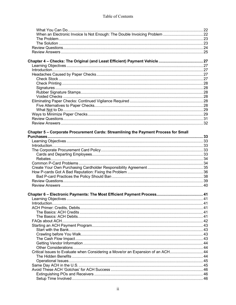| Chapter 5 - Corporate Procurement Cards: Streamlining the Payment Process for Small |  |
|-------------------------------------------------------------------------------------|--|
|                                                                                     |  |
|                                                                                     |  |
|                                                                                     |  |
|                                                                                     |  |
|                                                                                     |  |
|                                                                                     |  |
|                                                                                     |  |
|                                                                                     |  |
|                                                                                     |  |
|                                                                                     |  |
|                                                                                     |  |
|                                                                                     |  |
|                                                                                     |  |
|                                                                                     |  |
|                                                                                     |  |
|                                                                                     |  |
|                                                                                     |  |
|                                                                                     |  |
|                                                                                     |  |
|                                                                                     |  |
|                                                                                     |  |
|                                                                                     |  |
|                                                                                     |  |
|                                                                                     |  |
| Critical Issues to Evaluate when Considering a Move/or an Expansion of an ACH 44    |  |
|                                                                                     |  |
|                                                                                     |  |
|                                                                                     |  |
|                                                                                     |  |
|                                                                                     |  |
|                                                                                     |  |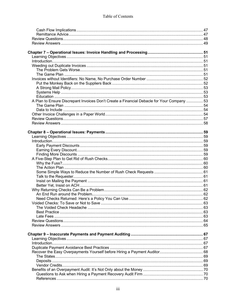## Table of Contents

| A Plan to Ensure Discrepant Invoices Don't Create a Financial Debacle for Your Company  53 |  |
|--------------------------------------------------------------------------------------------|--|
|                                                                                            |  |
|                                                                                            |  |
|                                                                                            |  |
|                                                                                            |  |
|                                                                                            |  |
|                                                                                            |  |
|                                                                                            |  |
|                                                                                            |  |
|                                                                                            |  |
|                                                                                            |  |
|                                                                                            |  |
|                                                                                            |  |
|                                                                                            |  |
|                                                                                            |  |
|                                                                                            |  |
|                                                                                            |  |
|                                                                                            |  |
|                                                                                            |  |
|                                                                                            |  |
|                                                                                            |  |
|                                                                                            |  |
|                                                                                            |  |
|                                                                                            |  |
|                                                                                            |  |
|                                                                                            |  |
|                                                                                            |  |
|                                                                                            |  |
|                                                                                            |  |
|                                                                                            |  |
|                                                                                            |  |
|                                                                                            |  |
|                                                                                            |  |
|                                                                                            |  |
|                                                                                            |  |
|                                                                                            |  |
|                                                                                            |  |
|                                                                                            |  |
|                                                                                            |  |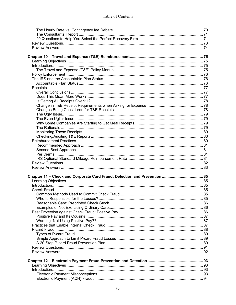| Chapter 11 - Check and Corporate Card Fraud: Detection and Prevention  85 |  |
|---------------------------------------------------------------------------|--|
|                                                                           |  |
|                                                                           |  |
|                                                                           |  |
|                                                                           |  |
|                                                                           |  |
|                                                                           |  |
|                                                                           |  |
|                                                                           |  |
|                                                                           |  |
|                                                                           |  |
|                                                                           |  |
|                                                                           |  |
|                                                                           |  |
|                                                                           |  |
|                                                                           |  |
|                                                                           |  |
|                                                                           |  |
|                                                                           |  |
|                                                                           |  |
|                                                                           |  |
|                                                                           |  |
|                                                                           |  |
|                                                                           |  |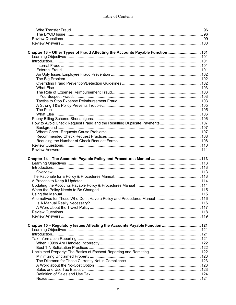## Table of Contents

| Chapter 13 - Other Types of Fraud Affecting the Accounts Payable Function 101 |  |
|-------------------------------------------------------------------------------|--|
|                                                                               |  |
|                                                                               |  |
|                                                                               |  |
|                                                                               |  |
|                                                                               |  |
|                                                                               |  |
|                                                                               |  |
|                                                                               |  |
|                                                                               |  |
|                                                                               |  |
|                                                                               |  |
|                                                                               |  |
|                                                                               |  |
|                                                                               |  |
|                                                                               |  |
|                                                                               |  |
|                                                                               |  |
|                                                                               |  |
|                                                                               |  |
|                                                                               |  |
|                                                                               |  |
|                                                                               |  |
|                                                                               |  |
|                                                                               |  |
|                                                                               |  |
|                                                                               |  |
|                                                                               |  |
|                                                                               |  |
|                                                                               |  |
|                                                                               |  |
|                                                                               |  |
|                                                                               |  |
|                                                                               |  |
|                                                                               |  |
|                                                                               |  |
|                                                                               |  |
|                                                                               |  |
|                                                                               |  |
|                                                                               |  |
| Chapter 15 - Regulatory Issues Affecting the Accounts Payable Function  121   |  |
|                                                                               |  |
|                                                                               |  |
|                                                                               |  |
|                                                                               |  |
|                                                                               |  |
|                                                                               |  |
|                                                                               |  |
|                                                                               |  |
|                                                                               |  |
|                                                                               |  |
|                                                                               |  |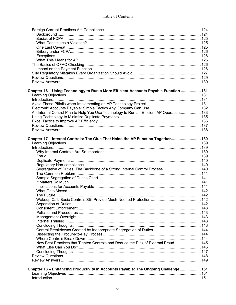| Chapter 16 - Using Technology to Run a More Efficient Accounts Payable Function  131     |  |
|------------------------------------------------------------------------------------------|--|
|                                                                                          |  |
|                                                                                          |  |
|                                                                                          |  |
|                                                                                          |  |
| An Internal Control Plan to Help You Use Technology to Run an Efficient AP Operation 133 |  |
|                                                                                          |  |
|                                                                                          |  |
|                                                                                          |  |
|                                                                                          |  |
|                                                                                          |  |
| Chapter 17 - Internal Controls: The Glue That Holds the AP Function Together 139         |  |
|                                                                                          |  |
|                                                                                          |  |
|                                                                                          |  |
|                                                                                          |  |
|                                                                                          |  |
|                                                                                          |  |
| Segregation of Duties: The Backbone of a Strong Internal Control Process 140             |  |
|                                                                                          |  |
|                                                                                          |  |
|                                                                                          |  |
|                                                                                          |  |
|                                                                                          |  |
|                                                                                          |  |
|                                                                                          |  |
|                                                                                          |  |
|                                                                                          |  |
|                                                                                          |  |
|                                                                                          |  |
|                                                                                          |  |
|                                                                                          |  |
|                                                                                          |  |
|                                                                                          |  |
|                                                                                          |  |
| New Best Practices that Tighten Controls and Reduce the Risk of External Fraud 145       |  |
|                                                                                          |  |
|                                                                                          |  |
|                                                                                          |  |
|                                                                                          |  |
|                                                                                          |  |
| Chapter 18 - Enhancing Productivity in Accounts Payable: The Ongoing Challenge 151       |  |
|                                                                                          |  |
|                                                                                          |  |
|                                                                                          |  |